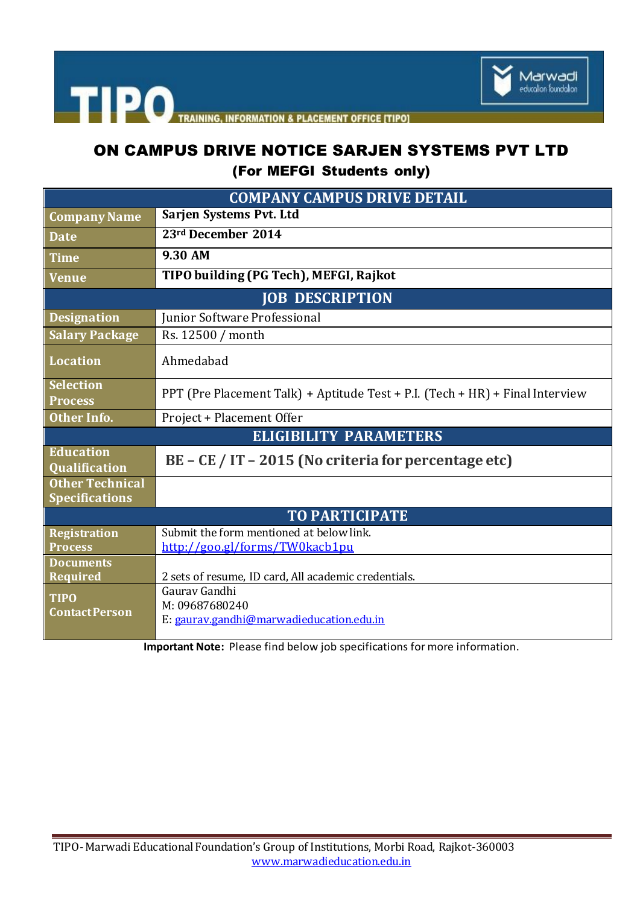

TRAINING, INFORMATION & PLACEMENT OFFICE [TIPO]

# ON CAMPUS DRIVE NOTICE SARJEN SYSTEMS PVT LTD

(For MEFGI Students only)

| <b>COMPANY CAMPUS DRIVE DETAIL</b>              |                                                                               |
|-------------------------------------------------|-------------------------------------------------------------------------------|
| <b>Company Name</b>                             | Sarjen Systems Pvt. Ltd                                                       |
| <b>Date</b>                                     | 23rd December 2014                                                            |
| <b>Time</b>                                     | 9.30 AM                                                                       |
| Venue                                           | TIPO building (PG Tech), MEFGI, Rajkot                                        |
| <b>JOB DESCRIPTION</b>                          |                                                                               |
| <b>Designation</b>                              | Junior Software Professional                                                  |
| <b>Salary Package</b>                           | Rs. 12500 / month                                                             |
| <b>Location</b>                                 | Ahmedabad                                                                     |
| <b>Selection</b><br><b>Process</b>              | PPT (Pre Placement Talk) + Aptitude Test + P.I. (Tech + HR) + Final Interview |
| Other Info.                                     | Project + Placement Offer                                                     |
| <b>ELIGIBILITY PARAMETERS</b>                   |                                                                               |
| <b>Education</b><br><b>Qualification</b>        | BE - CE / IT - 2015 (No criteria for percentage etc)                          |
| <b>Other Technical</b><br><b>Specifications</b> |                                                                               |
| <b>TO PARTICIPATE</b>                           |                                                                               |
| <b>Registration</b><br><b>Process</b>           | Submit the form mentioned at below link.<br>http://goo.gl/forms/TW0kacb1pu    |
| <b>Documents</b><br><b>Required</b>             | 2 sets of resume, ID card, All academic credentials.                          |
| <b>TIPO</b><br><b>Contact Person</b>            | Gauray Gandhi<br>M: 09687680240<br>E: gaurav.gandhi@marwadieducation.edu.in   |

**Important Note:** Please find below job specifications for more information.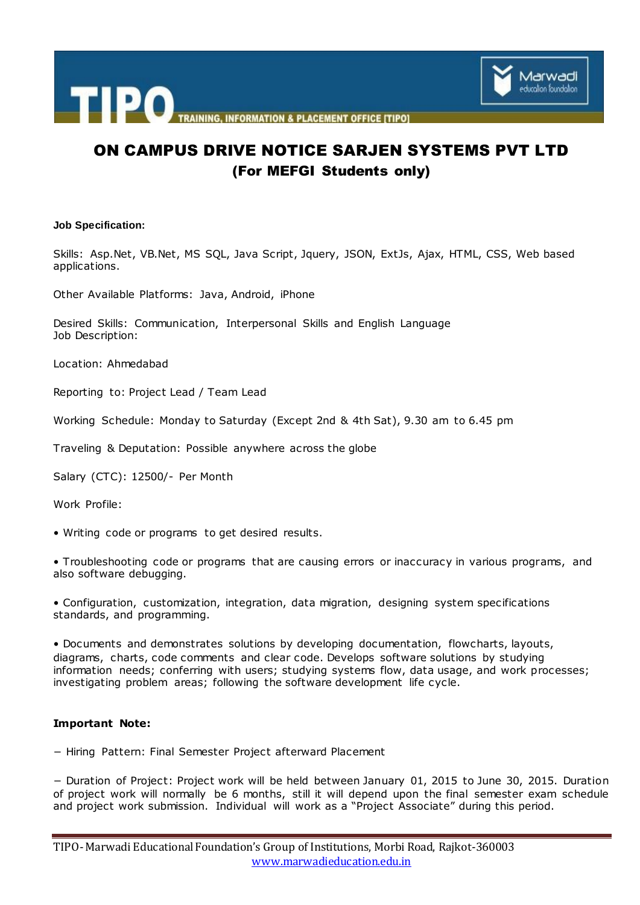

## ON CAMPUS DRIVE NOTICE SARJEN SYSTEMS PVT LTD (For MEFGI Students only)

#### **Job Specification:**

Skills: Asp.Net, VB.Net, MS SQL, Java Script, Jquery, JSON, ExtJs, Ajax, HTML, CSS, Web based applications.

Other Available Platforms: Java, Android, iPhone

Desired Skills: Communication, Interpersonal Skills and English Language Job Description:

Location: Ahmedabad

Reporting to: Project Lead / Team Lead

Working Schedule: Monday to Saturday (Except 2nd & 4th Sat), 9.30 am to 6.45 pm

Traveling & Deputation: Possible anywhere across the globe

Salary (CTC): 12500/- Per Month

Work Profile:

• Writing code or programs to get desired results.

• Troubleshooting code or programs that are causing errors or inaccuracy in various programs, and also software debugging.

• Configuration, customization, integration, data migration, designing system specifications standards, and programming.

• Documents and demonstrates solutions by developing documentation, flowcharts, layouts, diagrams, charts, code comments and clear code. Develops software solutions by studying information needs; conferring with users; studying systems flow, data usage, and work processes; investigating problem areas; following the software development life cycle.

#### **Important Note:**

− Hiring Pattern: Final Semester Project afterward Placement

− Duration of Project: Project work will be held between January 01, 2015 to June 30, 2015. Duration of project work will normally be 6 months, still it will depend upon the final semester exam schedule and project work submission. Individual will work as a "Project Associate" during this period.